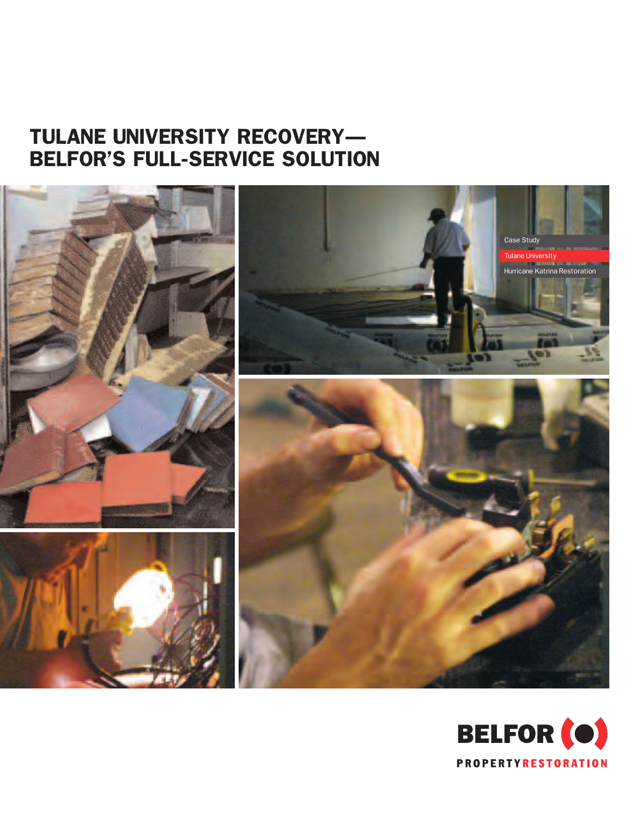## TULANE UNIVERSITY RECOVERY— BELFOR'S FULL-SERVICE SOLUTION



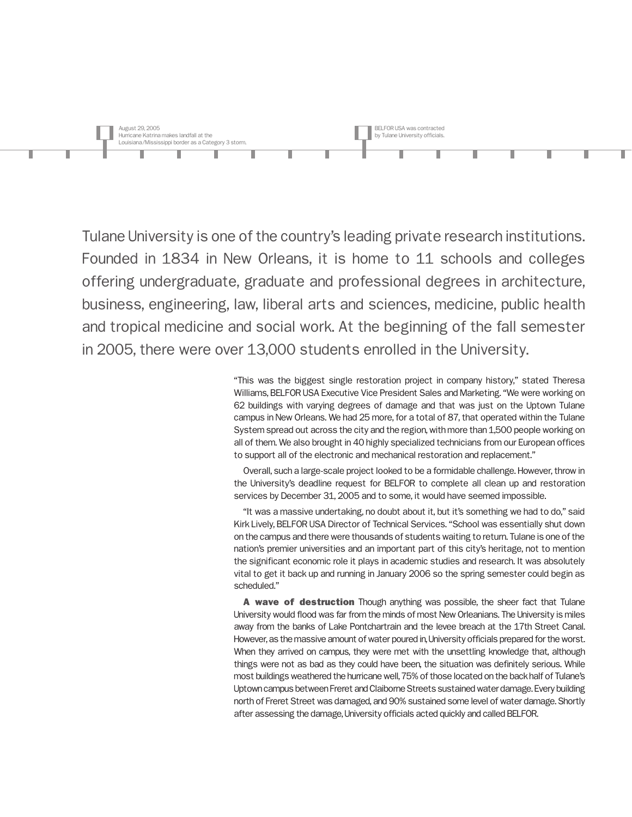

Tulane University is one of the country's leading private research institutions. Founded in 1834 in New Orleans, it is home to 11 schools and colleges offering undergraduate, graduate and professional degrees in architecture, business, engineering, law, liberal arts and sciences, medicine, public health and tropical medicine and social work. At the beginning of the fall semester in 2005, there were over 13,000 students enrolled in the University.

> "This was the biggest single restoration project in company history," stated Theresa Williams, BELFOR USA Executive Vice President Sales and Marketing. "We were working on 62 buildings with varying degrees of damage and that was just on the Uptown Tulane campus in New Orleans. We had 25 more, for a total of 87, that operated within the Tulane System spread out across the city and the region, with more than 1,500 people working on all of them. We also brought in 40 highly specialized technicians from our European offices to support all of the electronic and mechanical restoration and replacement."

> Overall, such a large-scale project looked to be a formidable challenge. However, throw in the University's deadline request for BELFOR to complete all clean up and restoration services by December 31, 2005 and to some, it would have seemed impossible.

> "It was a massive undertaking, no doubt about it, but it's something we had to do," said Kirk Lively, BELFOR USA Director of Technical Services. "School was essentially shut down on the campus and there were thousands of students waiting to return. Tulane is one of the nation's premier universities and an important part of this city's heritage, not to mention the significant economic role it plays in academic studies and research. It was absolutely vital to get it back up and running in January 2006 so the spring semester could begin as scheduled."

> A wave of destruction Though anything was possible, the sheer fact that Tulane University would flood was far from the minds of most New Orleanians. The University is miles away from the banks of Lake Pontchartrain and the levee breach at the 17th Street Canal. However, as the massive amount of water poured in, University officials prepared for the worst. When they arrived on campus, they were met with the unsettling knowledge that, although things were not as bad as they could have been, the situation was definitely serious. While most buildings weathered the hurricane well, 75% of those located on the back half of Tulane's Uptown campus between Freret and Claiborne Streets sustained water damage. Every building north of Freret Street was damaged, and 90% sustained some level of water damage. Shortly after assessing the damage, University officials acted quickly and called BELFOR.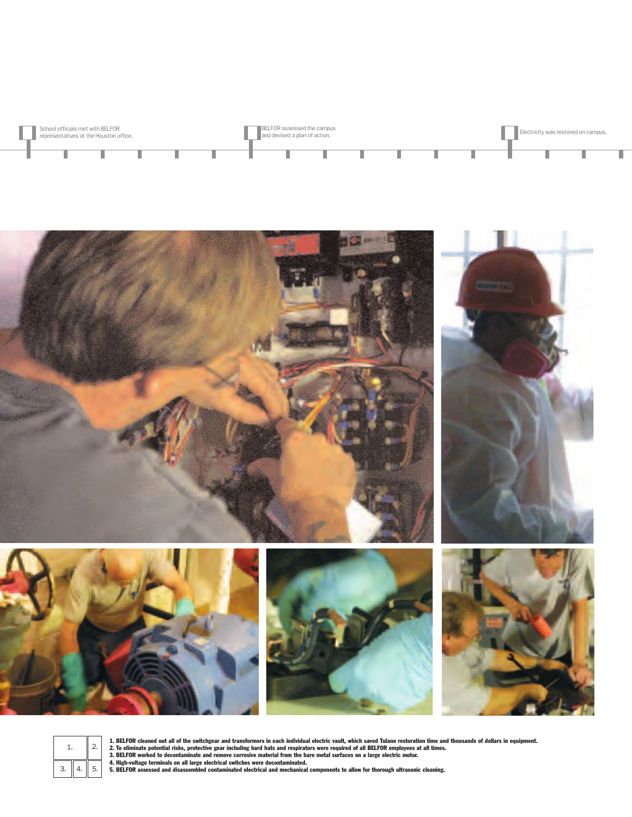

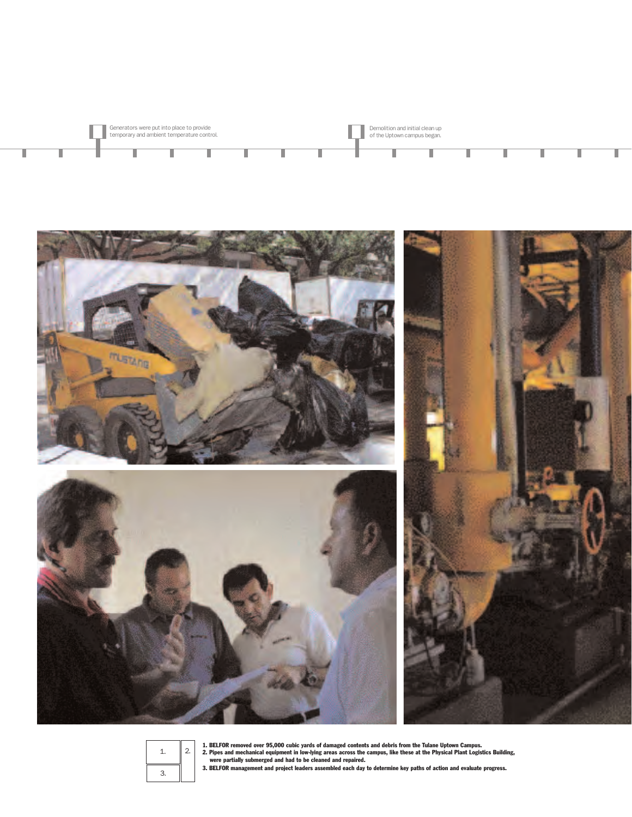

Demolition and initial clean up of the Uptown campus began.

 $\overline{\phantom{a}}$ 

I

T

Π

I

 $\sim 1$ 



Generators were put into place to provide temporary and ambient temperature control.

I

I

ī

Ī

I

1. BELFOR removed over 95,000 cubic yards of damaged contents and debris from the Tulane Uptown Campus.<br>Were partially submerged and had to be cleaned and repair campus, like these at the Physical Plant Logistics Building,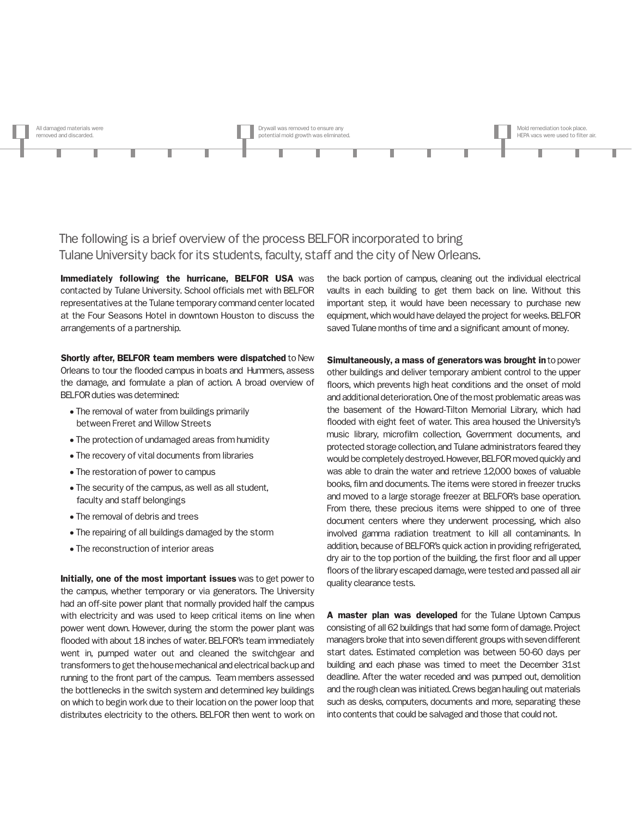

The following is a brief overview of the process BELFOR incorporated to bring Tulane University back for its students, faculty, staff and the city of New Orleans.

Immediately following the hurricane, BELFOR USA was contacted by Tulane University. School officials met with BELFOR representatives at the Tulane temporary command center located at the Four Seasons Hotel in downtown Houston to discuss the arrangements of a partnership.

Shortly after, BELFOR team members were dispatched to New Orleans to tour the flooded campus in boats and Hummers, assess the damage, and formulate a plan of action. A broad overview of BELFOR duties was determined:

- The removal of water from buildings primarily between Freret and Willow Streets
- The protection of undamaged areas from humidity
- The recovery of vital documents from libraries
- The restoration of power to campus
- The security of the campus, as well as all student, faculty and staff belongings
- The removal of debris and trees
- The repairing of all buildings damaged by the storm
- The reconstruction of interior areas

Initially, one of the most important issues was to get power to the campus, whether temporary or via generators. The University had an off-site power plant that normally provided half the campus with electricity and was used to keep critical items on line when power went down. However, during the storm the power plant was flooded with about 18 inches of water. BELFOR's team immediately went in, pumped water out and cleaned the switchgear and transformers to get the house mechanical and electrical back up and running to the front part of the campus. Team members assessed the bottlenecks in the switch system and determined key buildings on which to begin work due to their location on the power loop that distributes electricity to the others. BELFOR then went to work on the back portion of campus, cleaning out the individual electrical vaults in each building to get them back on line. Without this important step, it would have been necessary to purchase new equipment, which would have delayed the project for weeks. BELFOR saved Tulane months of time and a significant amount of money.

Simultaneously, a mass of generators was brought in to power other buildings and deliver temporary ambient control to the upper floors, which prevents high heat conditions and the onset of mold and additional deterioration. One of the most problematic areas was the basement of the Howard-Tilton Memorial Library, which had flooded with eight feet of water. This area housed the University's music library, microfilm collection, Government documents, and protected storage collection, and Tulane administrators feared they would be completely destroyed. However, BELFOR moved quickly and was able to drain the water and retrieve 12,000 boxes of valuable books, film and documents. The items were stored in freezer trucks and moved to a large storage freezer at BELFOR's base operation. From there, these precious items were shipped to one of three document centers where they underwent processing, which also involved gamma radiation treatment to kill all contaminants. In addition, because of BELFOR's quick action in providing refrigerated, dry air to the top portion of the building, the first floor and all upper floors of the library escaped damage, were tested and passed all air quality clearance tests.

A master plan was developed for the Tulane Uptown Campus consisting of all 62 buildings that had some form of damage. Project managers broke that into seven different groups with seven different start dates. Estimated completion was between 50-60 days per building and each phase was timed to meet the December 31st deadline. After the water receded and was pumped out, demolition and the rough clean was initiated. Crews began hauling out materials such as desks, computers, documents and more, separating these into contents that could be salvaged and those that could not.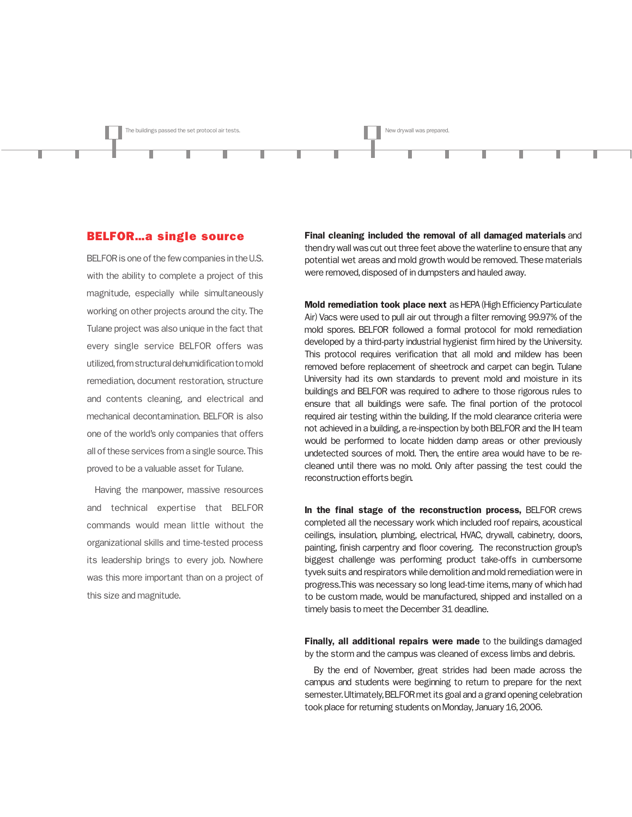

## BELFOR…a single source

BELFOR is one of the few companies in the U.S. with the ability to complete a project of this magnitude, especially while simultaneously working on other projects around the city. The Tulane project was also unique in the fact that every single service BELFOR offers was utilized, from structural dehumidification to mold remediation, document restoration, structure and contents cleaning, and electrical and mechanical decontamination. BELFOR is also one of the world's only companies that offers all of these services from a single source. This proved to be a valuable asset for Tulane.

Having the manpower, massive resources and technical expertise that BELFOR commands would mean little without the organizational skills and time-tested process its leadership brings to every job. Nowhere was this more important than on a project of this size and magnitude.

Final cleaning included the removal of all damaged materials and then dry wall was cut out three feet above the waterline to ensure that any potential wet areas and mold growth would be removed. These materials were removed, disposed of in dumpsters and hauled away.

Mold remediation took place next as HEPA (High Efficiency Particulate Air) Vacs were used to pull air out through a filter removing 99.97% of the mold spores. BELFOR followed a formal protocol for mold remediation developed by a third-party industrial hygienist firm hired by the University. This protocol requires verification that all mold and mildew has been removed before replacement of sheetrock and carpet can begin. Tulane University had its own standards to prevent mold and moisture in its buildings and BELFOR was required to adhere to those rigorous rules to ensure that all buildings were safe. The final portion of the protocol required air testing within the building. If the mold clearance criteria were not achieved in a building, a re-inspection by both BELFOR and the IH team would be performed to locate hidden damp areas or other previously undetected sources of mold. Then, the entire area would have to be recleaned until there was no mold. Only after passing the test could the reconstruction efforts begin.

In the final stage of the reconstruction process, BELFOR crews completed all the necessary work which included roof repairs, acoustical ceilings, insulation, plumbing, electrical, HVAC, drywall, cabinetry, doors, painting, finish carpentry and floor covering. The reconstruction group's biggest challenge was performing product take-offs in cumbersome tyvek suits and respirators while demolition and mold remediation were in progress.This was necessary so long lead-time items, many of which had to be custom made, would be manufactured, shipped and installed on a timely basis to meet the December 31 deadline.

Finally, all additional repairs were made to the buildings damaged by the storm and the campus was cleaned of excess limbs and debris.

By the end of November, great strides had been made across the campus and students were beginning to return to prepare for the next semester. Ultimately, BELFOR met its goal and a grand opening celebration took place for returning students on Monday, January 16, 2006.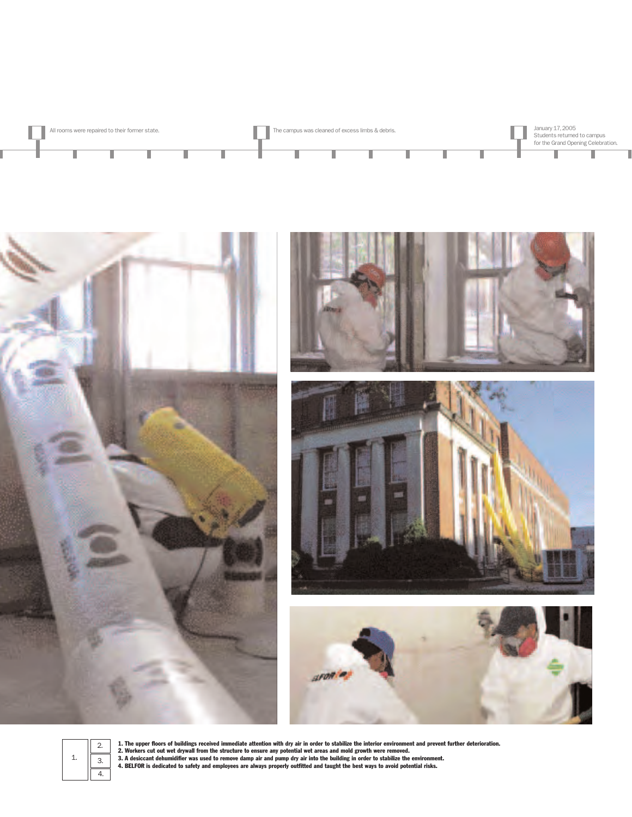











1. The upper floors of buildings received immediate attention with dry air in order to stabilize the interior environment and prevent further deterioration.<br>2. Workers cut out wet drywall from the structure to ensure any p